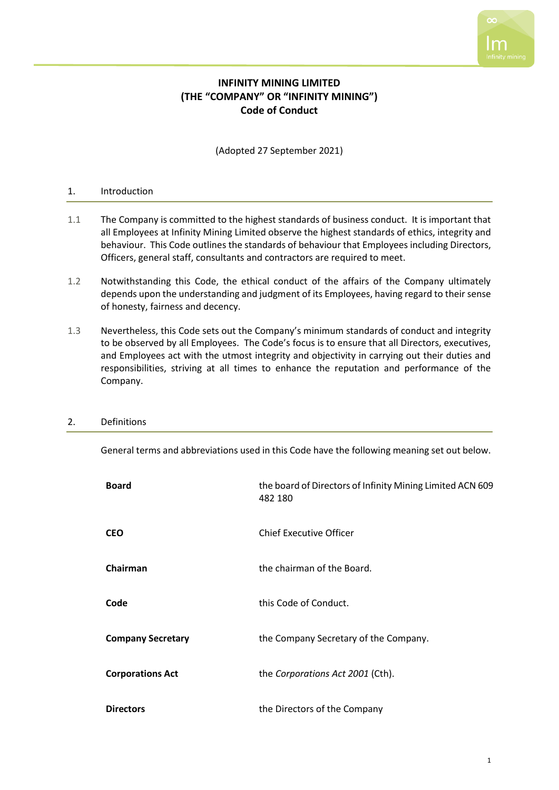

# **INFINITY MINING LIMITED (THE "COMPANY" OR "INFINITY MINING") Code of Conduct**

(Adopted 27 September 2021)

### 1. Introduction

- 1.1 The Company is committed to the highest standards of business conduct. It is important that all Employees at Infinity Mining Limited observe the highest standards of ethics, integrity and behaviour. This Code outlines the standards of behaviour that Employees including Directors, Officers, general staff, consultants and contractors are required to meet.
- 1.2 Notwithstanding this Code, the ethical conduct of the affairs of the Company ultimately depends upon the understanding and judgment of its Employees, having regard to their sense of honesty, fairness and decency.
- 1.3 Nevertheless, this Code sets out the Company's minimum standards of conduct and integrity to be observed by all Employees. The Code's focus is to ensure that all Directors, executives, and Employees act with the utmost integrity and objectivity in carrying out their duties and responsibilities, striving at all times to enhance the reputation and performance of the Company.

| <b>Board</b>             | the board of Directors of Infinity Mining Limited ACN 609<br>482 180 |
|--------------------------|----------------------------------------------------------------------|
| <b>CEO</b>               | <b>Chief Executive Officer</b>                                       |
| Chairman                 | the chairman of the Board.                                           |
| Code                     | this Code of Conduct.                                                |
| <b>Company Secretary</b> | the Company Secretary of the Company.                                |
| <b>Corporations Act</b>  | the Corporations Act 2001 (Cth).                                     |
| <b>Directors</b>         | the Directors of the Company                                         |

#### 2. Definitions

General terms and abbreviations used in this Code have the following meaning set out below.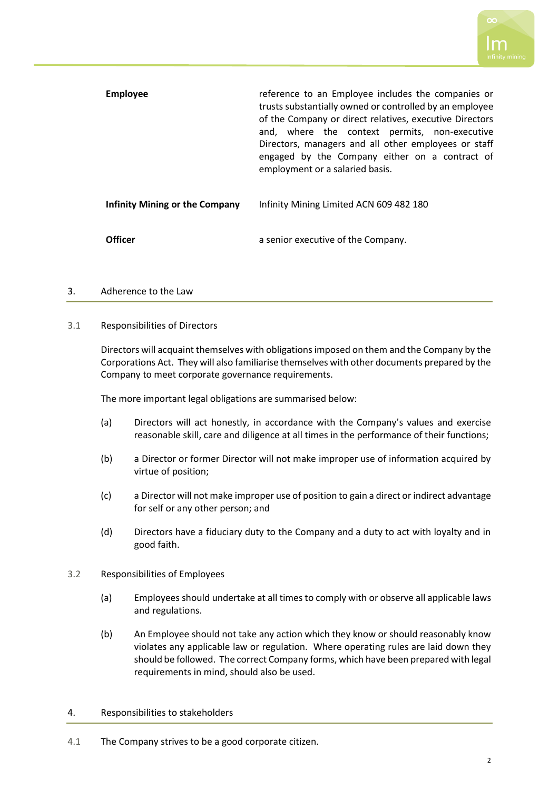| <b>Employee</b>                | reference to an Employee includes the companies or<br>trusts substantially owned or controlled by an employee<br>of the Company or direct relatives, executive Directors<br>and, where the context permits, non-executive<br>Directors, managers and all other employees or staff<br>engaged by the Company either on a contract of<br>employment or a salaried basis. |
|--------------------------------|------------------------------------------------------------------------------------------------------------------------------------------------------------------------------------------------------------------------------------------------------------------------------------------------------------------------------------------------------------------------|
| Infinity Mining or the Company | Infinity Mining Limited ACN 609 482 180                                                                                                                                                                                                                                                                                                                                |
| Officer                        | a senior executive of the Company.                                                                                                                                                                                                                                                                                                                                     |

### 3. Adherence to the Law

#### 3.1 Responsibilities of Directors

Directors will acquaint themselves with obligations imposed on them and the Company by the Corporations Act. They will also familiarise themselves with other documents prepared by the Company to meet corporate governance requirements.

The more important legal obligations are summarised below:

- (a) Directors will act honestly, in accordance with the Company's values and exercise reasonable skill, care and diligence at all times in the performance of their functions;
- (b) a Director or former Director will not make improper use of information acquired by virtue of position;
- (c) a Director will not make improper use of position to gain a direct or indirect advantage for self or any other person; and
- (d) Directors have a fiduciary duty to the Company and a duty to act with loyalty and in good faith.
- 3.2 Responsibilities of Employees
	- (a) Employees should undertake at all times to comply with or observe all applicable laws and regulations.
	- (b) An Employee should not take any action which they know or should reasonably know violates any applicable law or regulation. Where operating rules are laid down they should be followed. The correct Company forms, which have been prepared with legal requirements in mind, should also be used.

#### 4. Responsibilities to stakeholders

4.1 The Company strives to be a good corporate citizen.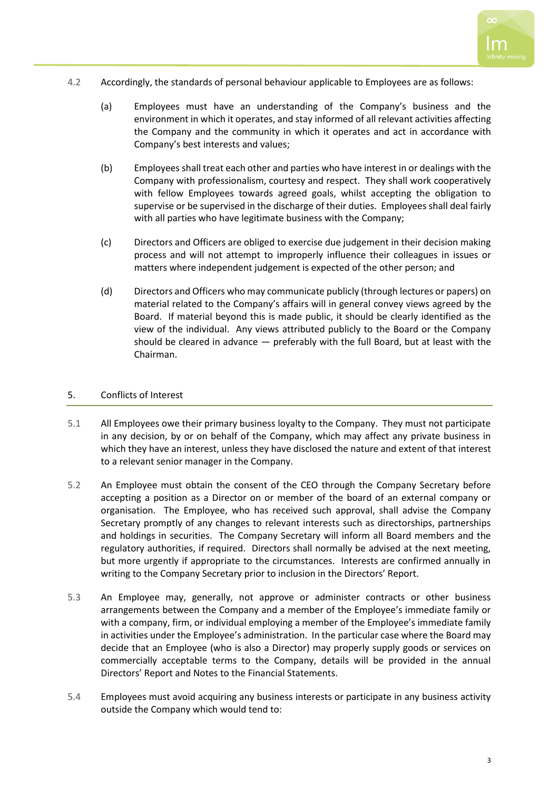- 
- 4.2 Accordingly, the standards of personal behaviour applicable to Employees are as follows:
	- (a) Employees must have an understanding of the Company's business and the environment in which it operates, and stay informed of all relevant activities affecting the Company and the community in which it operates and act in accordance with Company's best interests and values;
	- (b) Employees shall treat each other and parties who have interest in or dealings with the Company with professionalism, courtesy and respect. They shall work cooperatively with fellow Employees towards agreed goals, whilst accepting the obligation to supervise or be supervised in the discharge of their duties. Employees shall deal fairly with all parties who have legitimate business with the Company;
	- (c) Directors and Officers are obliged to exercise due judgement in their decision making process and will not attempt to improperly influence their colleagues in issues or matters where independent judgement is expected of the other person; and
	- (d) Directors and Officers who may communicate publicly (through lectures or papers) on material related to the Company's affairs will in general convey views agreed by the Board. If material beyond this is made public, it should be clearly identified as the view of the individual. Any views attributed publicly to the Board or the Company should be cleared in advance — preferably with the full Board, but at least with the Chairman.

# 5. Conflicts of Interest

- 5.1 All Employees owe their primary business loyalty to the Company. They must not participate in any decision, by or on behalf of the Company, which may affect any private business in which they have an interest, unless they have disclosed the nature and extent of that interest to a relevant senior manager in the Company.
- 5.2 An Employee must obtain the consent of the CEO through the Company Secretary before accepting a position as a Director on or member of the board of an external company or organisation. The Employee, who has received such approval, shall advise the Company Secretary promptly of any changes to relevant interests such as directorships, partnerships and holdings in securities. The Company Secretary will inform all Board members and the regulatory authorities, if required. Directors shall normally be advised at the next meeting, but more urgently if appropriate to the circumstances. Interests are confirmed annually in writing to the Company Secretary prior to inclusion in the Directors' Report.
- 5.3 An Employee may, generally, not approve or administer contracts or other business arrangements between the Company and a member of the Employee's immediate family or with a company, firm, or individual employing a member of the Employee's immediate family in activities under the Employee's administration. In the particular case where the Board may decide that an Employee (who is also a Director) may properly supply goods or services on commercially acceptable terms to the Company, details will be provided in the annual Directors' Report and Notes to the Financial Statements.
- 5.4 Employees must avoid acquiring any business interests or participate in any business activity outside the Company which would tend to: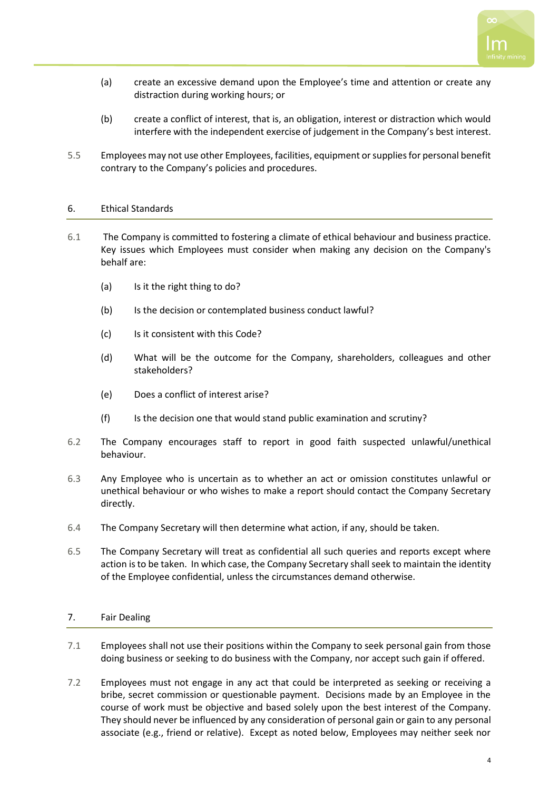

- (a) create an excessive demand upon the Employee's time and attention or create any distraction during working hours; or
- (b) create a conflict of interest, that is, an obligation, interest or distraction which would interfere with the independent exercise of judgement in the Company's best interest.
- 5.5 Employees may not use other Employees, facilities, equipment or supplies for personal benefit contrary to the Company's policies and procedures.

### 6. Ethical Standards

- 6.1 The Company is committed to fostering a climate of ethical behaviour and business practice. Key issues which Employees must consider when making any decision on the Company's behalf are:
	- (a) Is it the right thing to do?
	- (b) Is the decision or contemplated business conduct lawful?
	- (c) Is it consistent with this Code?
	- (d) What will be the outcome for the Company, shareholders, colleagues and other stakeholders?
	- (e) Does a conflict of interest arise?
	- (f) Is the decision one that would stand public examination and scrutiny?
- 6.2 The Company encourages staff to report in good faith suspected unlawful/unethical behaviour.
- 6.3 Any Employee who is uncertain as to whether an act or omission constitutes unlawful or unethical behaviour or who wishes to make a report should contact the Company Secretary directly.
- 6.4 The Company Secretary will then determine what action, if any, should be taken.
- 6.5 The Company Secretary will treat as confidential all such queries and reports except where action is to be taken. In which case, the Company Secretary shall seek to maintain the identity of the Employee confidential, unless the circumstances demand otherwise.

# 7. Fair Dealing

- 7.1 Employees shall not use their positions within the Company to seek personal gain from those doing business or seeking to do business with the Company, nor accept such gain if offered.
- 7.2 Employees must not engage in any act that could be interpreted as seeking or receiving a bribe, secret commission or questionable payment. Decisions made by an Employee in the course of work must be objective and based solely upon the best interest of the Company. They should never be influenced by any consideration of personal gain or gain to any personal associate (e.g., friend or relative). Except as noted below, Employees may neither seek nor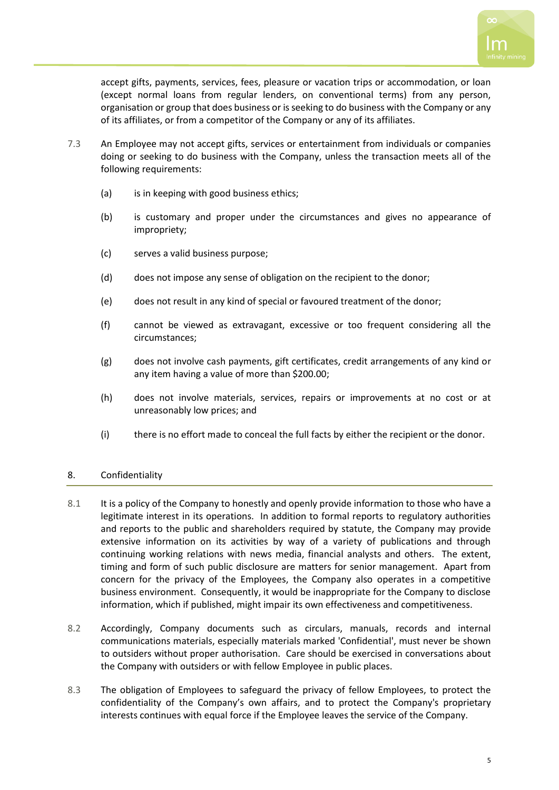

accept gifts, payments, services, fees, pleasure or vacation trips or accommodation, or loan (except normal loans from regular lenders, on conventional terms) from any person, organisation or group that does business or is seeking to do business with the Company or any of its affiliates, or from a competitor of the Company or any of its affiliates.

- 7.3 An Employee may not accept gifts, services or entertainment from individuals or companies doing or seeking to do business with the Company, unless the transaction meets all of the following requirements:
	- (a) is in keeping with good business ethics;
	- (b) is customary and proper under the circumstances and gives no appearance of impropriety;
	- (c) serves a valid business purpose;
	- (d) does not impose any sense of obligation on the recipient to the donor;
	- (e) does not result in any kind of special or favoured treatment of the donor;
	- (f) cannot be viewed as extravagant, excessive or too frequent considering all the circumstances;
	- (g) does not involve cash payments, gift certificates, credit arrangements of any kind or any item having a value of more than \$200.00;
	- (h) does not involve materials, services, repairs or improvements at no cost or at unreasonably low prices; and
	- (i) there is no effort made to conceal the full facts by either the recipient or the donor.

# 8. Confidentiality

- 8.1 It is a policy of the Company to honestly and openly provide information to those who have a legitimate interest in its operations. In addition to formal reports to regulatory authorities and reports to the public and shareholders required by statute, the Company may provide extensive information on its activities by way of a variety of publications and through continuing working relations with news media, financial analysts and others. The extent, timing and form of such public disclosure are matters for senior management. Apart from concern for the privacy of the Employees, the Company also operates in a competitive business environment. Consequently, it would be inappropriate for the Company to disclose information, which if published, might impair its own effectiveness and competitiveness.
- 8.2 Accordingly, Company documents such as circulars, manuals, records and internal communications materials, especially materials marked 'Confidential', must never be shown to outsiders without proper authorisation. Care should be exercised in conversations about the Company with outsiders or with fellow Employee in public places.
- 8.3 The obligation of Employees to safeguard the privacy of fellow Employees, to protect the confidentiality of the Company's own affairs, and to protect the Company's proprietary interests continues with equal force if the Employee leaves the service of the Company.